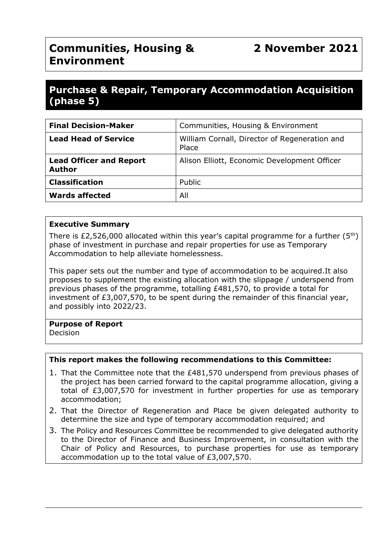# **Communities, Housing & Environment**

## **Purchase & Repair, Temporary Accommodation Acquisition (phase 5)**

| <b>Final Decision-Maker</b>                     | Communities, Housing & Environment                     |
|-------------------------------------------------|--------------------------------------------------------|
| <b>Lead Head of Service</b>                     | William Cornall, Director of Regeneration and<br>Place |
| <b>Lead Officer and Report</b><br><b>Author</b> | Alison Elliott, Economic Development Officer           |
| <b>Classification</b>                           | Public                                                 |
| <b>Wards affected</b>                           | All                                                    |

## **Executive Summary**

There is  $£2,526,000$  allocated within this year's capital programme for a further  $(5<sup>th</sup>)$ phase of investment in purchase and repair properties for use as Temporary Accommodation to help alleviate homelessness.

This paper sets out the number and type of accommodation to be acquired.It also proposes to supplement the existing allocation with the slippage / underspend from previous phases of the programme, totalling £481,570, to provide a total for investment of £3,007,570, to be spent during the remainder of this financial year, and possibly into 2022/23.

#### **Purpose of Report**

Decision

## **This report makes the following recommendations to this Committee:**

- 1. That the Committee note that the £481,570 underspend from previous phases of the project has been carried forward to the capital programme allocation, giving a total of £3,007,570 for investment in further properties for use as temporary accommodation;
- 2. That the Director of Regeneration and Place be given delegated authority to determine the size and type of temporary accommodation required; and
- 3. The Policy and Resources Committee be recommended to give delegated authority to the Director of Finance and Business Improvement, in consultation with the Chair of Policy and Resources, to purchase properties for use as temporary accommodation up to the total value of £3,007,570.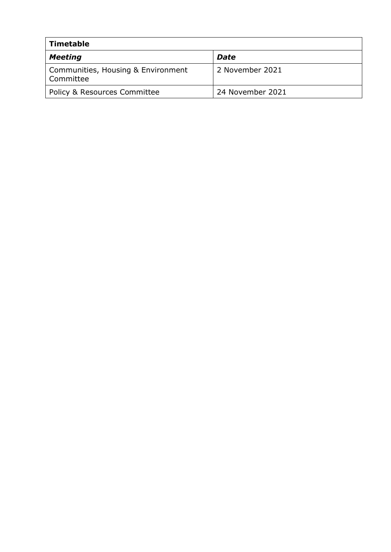| <b>Timetable</b>                                |                  |  |
|-------------------------------------------------|------------------|--|
| <b>Meeting</b>                                  | <b>Date</b>      |  |
| Communities, Housing & Environment<br>Committee | 2 November 2021  |  |
| <b>Policy &amp; Resources Committee</b>         | 24 November 2021 |  |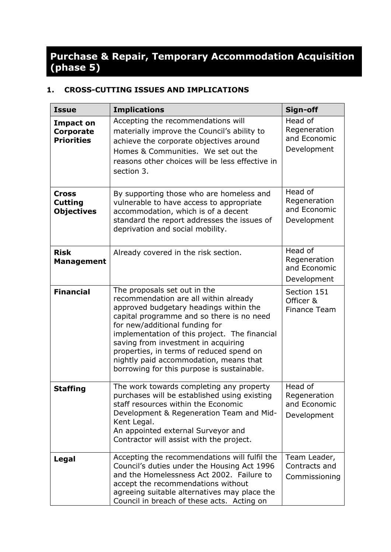# **Purchase & Repair, Temporary Accommodation Acquisition (phase 5)**

## **1. CROSS-CUTTING ISSUES AND IMPLICATIONS**

| <b>Issue</b>                                                                                                                                                                                                                                                                                    | <b>Implications</b>                                                                                                                                                                                                                                                                                                                                                                                                        | Sign-off                                               |
|-------------------------------------------------------------------------------------------------------------------------------------------------------------------------------------------------------------------------------------------------------------------------------------------------|----------------------------------------------------------------------------------------------------------------------------------------------------------------------------------------------------------------------------------------------------------------------------------------------------------------------------------------------------------------------------------------------------------------------------|--------------------------------------------------------|
| <b>Impact on</b><br><b>Corporate</b><br><b>Priorities</b>                                                                                                                                                                                                                                       | Accepting the recommendations will<br>materially improve the Council's ability to<br>achieve the corporate objectives around<br>Homes & Communities. We set out the<br>reasons other choices will be less effective in<br>section 3.                                                                                                                                                                                       | Head of<br>Regeneration<br>and Economic<br>Development |
| <b>Cross</b><br><b>Cutting</b><br><b>Objectives</b>                                                                                                                                                                                                                                             | By supporting those who are homeless and<br>vulnerable to have access to appropriate<br>accommodation, which is of a decent<br>standard the report addresses the issues of<br>deprivation and social mobility.                                                                                                                                                                                                             | Head of<br>Regeneration<br>and Economic<br>Development |
| <b>Risk</b><br><b>Management</b>                                                                                                                                                                                                                                                                | Already covered in the risk section.                                                                                                                                                                                                                                                                                                                                                                                       | Head of<br>Regeneration<br>and Economic<br>Development |
| <b>Financial</b>                                                                                                                                                                                                                                                                                | The proposals set out in the<br>recommendation are all within already<br>approved budgetary headings within the<br>capital programme and so there is no need<br>for new/additional funding for<br>implementation of this project. The financial<br>saving from investment in acquiring<br>properties, in terms of reduced spend on<br>nightly paid accommodation, means that<br>borrowing for this purpose is sustainable. | Section 151<br>Officer &<br>Finance Team               |
| The work towards completing any property<br><b>Staffing</b><br>purchases will be established using existing<br>staff resources within the Economic<br>Development & Regeneration Team and Mid-<br>Kent Legal.<br>An appointed external Surveyor and<br>Contractor will assist with the project. |                                                                                                                                                                                                                                                                                                                                                                                                                            | Head of<br>Regeneration<br>and Economic<br>Development |
| Legal                                                                                                                                                                                                                                                                                           | Accepting the recommendations will fulfil the<br>Council's duties under the Housing Act 1996<br>and the Homelessness Act 2002. Failure to<br>accept the recommendations without<br>agreeing suitable alternatives may place the<br>Council in breach of these acts. Acting on                                                                                                                                              | Team Leader,<br>Contracts and<br>Commissioning         |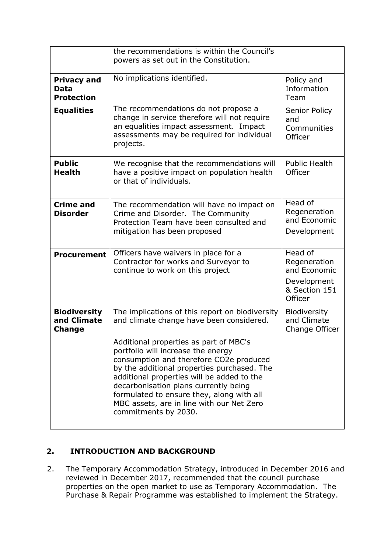|                                                     | the recommendations is within the Council's<br>powers as set out in the Constitution.                                                                                                                                                                                                                                                                                                                                                                                          |                                                                                    |
|-----------------------------------------------------|--------------------------------------------------------------------------------------------------------------------------------------------------------------------------------------------------------------------------------------------------------------------------------------------------------------------------------------------------------------------------------------------------------------------------------------------------------------------------------|------------------------------------------------------------------------------------|
| <b>Privacy and</b><br>Data<br><b>Protection</b>     | No implications identified.                                                                                                                                                                                                                                                                                                                                                                                                                                                    | Policy and<br>Information<br>Team                                                  |
| <b>Equalities</b>                                   | The recommendations do not propose a<br>change in service therefore will not require<br>an equalities impact assessment. Impact<br>assessments may be required for individual<br>projects.                                                                                                                                                                                                                                                                                     | Senior Policy<br>and<br>Communities<br>Officer                                     |
| <b>Public</b><br><b>Health</b>                      | We recognise that the recommendations will<br>have a positive impact on population health<br>or that of individuals.                                                                                                                                                                                                                                                                                                                                                           | <b>Public Health</b><br>Officer                                                    |
| <b>Crime and</b><br><b>Disorder</b>                 | The recommendation will have no impact on<br>Crime and Disorder. The Community<br>Protection Team have been consulted and<br>mitigation has been proposed                                                                                                                                                                                                                                                                                                                      | Head of<br>Regeneration<br>and Economic<br>Development                             |
| <b>Procurement</b>                                  | Officers have waivers in place for a<br>Contractor for works and Surveyor to<br>continue to work on this project                                                                                                                                                                                                                                                                                                                                                               | Head of<br>Regeneration<br>and Economic<br>Development<br>& Section 151<br>Officer |
| <b>Biodiversity</b><br>and Climate<br><b>Change</b> | The implications of this report on biodiversity<br>and climate change have been considered.<br>Additional properties as part of MBC's<br>portfolio will increase the energy<br>consumption and therefore CO2e produced<br>by the additional properties purchased. The<br>additional properties will be added to the<br>decarbonisation plans currently being<br>formulated to ensure they, along with all<br>MBC assets, are in line with our Net Zero<br>commitments by 2030. | <b>Biodiversity</b><br>and Climate<br>Change Officer                               |

## **2. INTRODUCTION AND BACKGROUND**

2. The Temporary Accommodation Strategy, introduced in December 2016 and reviewed in December 2017, recommended that the council purchase properties on the open market to use as Temporary Accommodation. The Purchase & Repair Programme was established to implement the Strategy.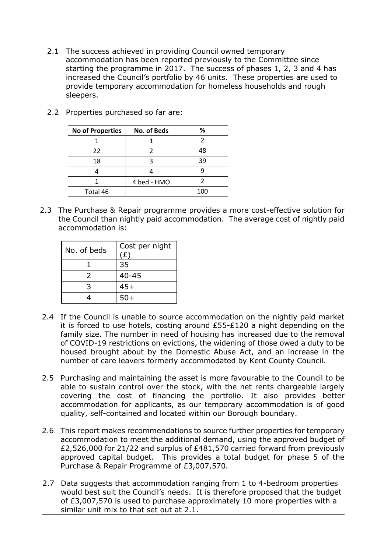2.1 The success achieved in providing Council owned temporary accommodation has been reported previously to the Committee since starting the programme in 2017. The success of phases 1, 2, 3 and 4 has increased the Council's portfolio by 46 units. These properties are used to provide temporary accommodation for homeless households and rough sleepers.

| <b>No of Properties</b> | No. of Beds | %   |
|-------------------------|-------------|-----|
|                         |             |     |
| 22                      |             | 48  |
| 18                      |             | 39  |
|                         |             |     |
|                         | 4 bed - HMO |     |
| Total 46                |             | 100 |

2.2 Properties purchased so far are:

2.3 The Purchase & Repair programme provides a more cost-effective solution for the Council than nightly paid accommodation. The average cost of nightly paid accommodation is:

| No. of beds | Cost per night<br>(£) |
|-------------|-----------------------|
|             | 35                    |
| フ           | $40 - 45$             |
| つ           | $45+$                 |
|             | $50+$                 |

- 2.4 If the Council is unable to source accommodation on the nightly paid market it is forced to use hotels, costing around  $£55-E120$  a night depending on the family size. The number in need of housing has increased due to the removal of COVID-19 restrictions on evictions, the widening of those owed a duty to be housed brought about by the Domestic Abuse Act, and an increase in the number of care leavers formerly accommodated by Kent County Council.
- 2.5 Purchasing and maintaining the asset is more favourable to the Council to be able to sustain control over the stock, with the net rents chargeable largely covering the cost of financing the portfolio. It also provides better accommodation for applicants, as our temporary accommodation is of good quality, self-contained and located within our Borough boundary.
- 2.6 This report makes recommendations to source further properties for temporary accommodation to meet the additional demand, using the approved budget of £2,526,000 for 21/22 and surplus of £481,570 carried forward from previously approved capital budget. This provides a total budget for phase 5 of the Purchase & Repair Programme of £3,007,570.
- 2.7 Data suggests that accommodation ranging from 1 to 4-bedroom properties would best suit the Council's needs. It is therefore proposed that the budget of £3,007,570 is used to purchase approximately 10 more properties with a similar unit mix to that set out at 2.1.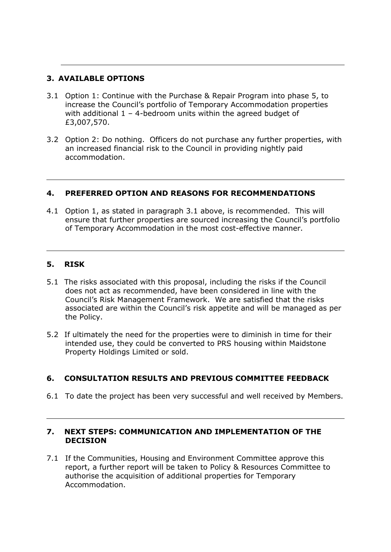## **3. AVAILABLE OPTIONS**

- 3.1 Option 1: Continue with the Purchase & Repair Program into phase 5, to increase the Council's portfolio of Temporary Accommodation properties with additional  $1 - 4$ -bedroom units within the agreed budget of £3,007,570.
- 3.2 Option 2: Do nothing. Officers do not purchase any further properties, with an increased financial risk to the Council in providing nightly paid accommodation.

## **4. PREFERRED OPTION AND REASONS FOR RECOMMENDATIONS**

4.1 Option 1, as stated in paragraph 3.1 above, is recommended. This will ensure that further properties are sourced increasing the Council's portfolio of Temporary Accommodation in the most cost-effective manner.

#### **5. RISK**

- 5.1 The risks associated with this proposal, including the risks if the Council does not act as recommended, have been considered in line with the Council's Risk Management Framework. We are satisfied that the risks associated are within the Council's risk appetite and will be managed as per the Policy.
- 5.2 If ultimately the need for the properties were to diminish in time for their intended use, they could be converted to PRS housing within Maidstone Property Holdings Limited or sold.

## **6. CONSULTATION RESULTS AND PREVIOUS COMMITTEE FEEDBACK**

6.1 To date the project has been very successful and well received by Members.

## **7. NEXT STEPS: COMMUNICATION AND IMPLEMENTATION OF THE DECISION**

7.1 If the Communities, Housing and Environment Committee approve this report, a further report will be taken to Policy & Resources Committee to authorise the acquisition of additional properties for Temporary Accommodation.